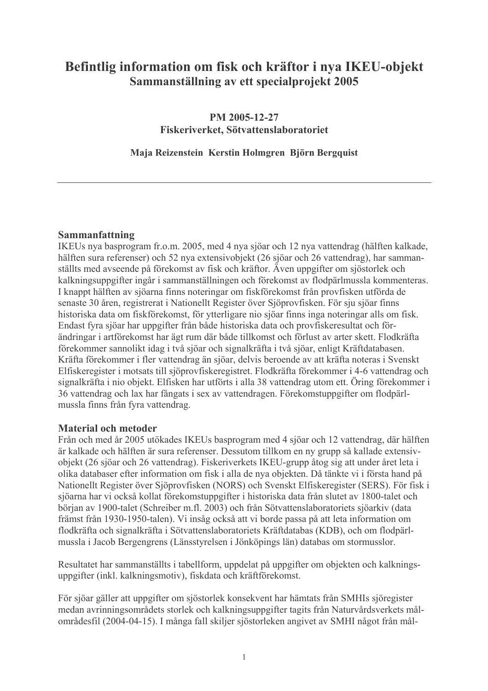# Befintlig information om fisk och kräftor i nya IKEU-objekt Sammanställning av ett specialprojekt 2005

PM 2005-12-27 Fiskeriverket, Sötvattenslaboratoriet

Maja Reizenstein Kerstin Holmgren Björn Bergquist

### Sammanfattning

IKEUs nya basprogram fr.o.m. 2005, med 4 nya sjöar och 12 nya vattendrag (hälften kalkade, hälften sura referenser) och 52 nya extensivobjekt (26 sjöar och 26 vattendrag), har sammanställts med avseende på förekomst av fisk och kräftor. Även uppgifter om sjöstorlek och kalkningsuppgifter ingår i sammanställningen och förekomst av flodpärlmussla kommenteras. I knappt hälften av sjöarna finns noteringar om fiskförekomst från provfisken utförda de senaste 30 åren, registrerat i Nationellt Register över Sjöprovfisken. För sju sjöar finns historiska data om fiskförekomst, för ytterligare nio sjöar finns inga noteringar alls om fisk. Endast fyra sjöar har uppgifter från både historiska data och provfiskeresultat och förändringar i artförekomst har ägt rum där både tillkomst och förlust av arter skett. Flodkräfta förekommer sannolikt idag i två sjöar och signalkräfta i två sjöar, enligt Kräftdatabasen. Kräfta förekommer i fler vattendrag än sjöar, delvis beroende av att kräfta noteras i Svenskt Elfiskeregister i motsats till sjöprovfiskeregistret. Flodkräfta förekommer i 4-6 vattendrag och signalkräfta i nio objekt. Elfisken har utförts i alla 38 vattendrag utom ett. Öring förekommer i 36 vattendrag och lax har fångats i sex av vattendragen. Förekomstuppgifter om flodpärlmussla finns från fyra vattendrag.

#### **Material och metoder**

Från och med år 2005 utökades IKEUs basprogram med 4 sjöar och 12 vattendrag, där hälften är kalkade och hälften är sura referenser. Dessutom tillkom en ny grupp så kallade extensivobjekt (26 sjöar och 26 vattendrag). Fiskeriverkets IKEU-grupp åtog sig att under året leta i olika databaser efter information om fisk i alla de nya objekten. Då tänkte vi i första hand på Nationellt Register över Sjöprovfisken (NORS) och Svenskt Elfiskeregister (SERS). För fisk i sjöarna har vi också kollat förekomstuppgifter i historiska data från slutet av 1800-talet och början av 1900-talet (Schreiber m.fl. 2003) och från Sötvattenslaboratoriets sjöarkiv (data främst från 1930-1950-talen). Vi insåg också att vi borde passa på att leta information om flodkräfta och signalkräfta i Sötvattenslaboratoriets Kräftdatabas (KDB), och om flodpärlmussla i Jacob Bergengrens (Länsstyrelsen i Jönköpings län) databas om stormusslor.

Resultatet har sammanställts i tabellform, uppdelat på uppgifter om objekten och kalkningsuppgifter (inkl. kalkningsmotiv), fiskdata och kräftförekomst.

För sjöar gäller att uppgifter om sjöstorlek konsekvent har hämtats från SMHIs sjöregister medan avrinningsområdets storlek och kalkningsuppgifter tagits från Naturvårdsverkets målområdesfil (2004-04-15). I många fall skiljer sjöstorleken angivet av SMHI något från mål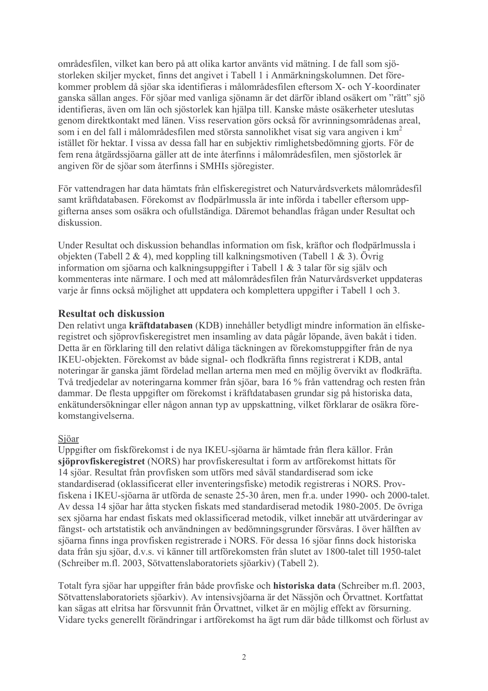områdesfilen, vilket kan bero på att olika kartor använts vid mätning. I de fall som sjöstorleken skiljer mycket, finns det angivet i Tabell 1 i Anmärkningskolumnen. Det förekommer problem då sjöar ska identifieras i målområdesfilen eftersom X- och Y-koordinater ganska sällan anges. För sjöar med vanliga sjönamn är det därför ibland osäkert om "rätt" sjö identifieras, även om län och sjöstorlek kan hjälpa till. Kanske måste osäkerheter uteslutas genom direktkontakt med länen. Viss reservation görs också för avrinningsområdenas areal, som i en del fall i målområdesfilen med största sannolikhet visat sig vara angiven i km<sup>2</sup> istället för hektar. I vissa av dessa fall har en subjektiv rimlighetsbedömning gjorts. För de fem rena åtgärdssjöarna gäller att de inte återfinns i målområdesfilen, men sjöstorlek är angiven för de sjöar som återfinns i SMHIs sjöregister.

För vattendragen har data hämtats från elfiskeregistret och Naturvårdsverkets målområdesfil samt kräftdatabasen. Förekomst av flodpärlmussla är inte införda i tabeller eftersom uppgifterna anses som osäkra och ofullständiga. Däremot behandlas frågan under Resultat och diskussion

Under Resultat och diskussion behandlas information om fisk, kräftor och flodpärlmussla i objekten (Tabell 2 & 4), med koppling till kalkningsmotiven (Tabell 1 & 3). Övrig information om sjöarna och kalkningsuppgifter i Tabell 1 & 3 talar för sig själv och kommenteras inte närmare. I och med att målområdesfilen från Naturvårdsverket uppdateras varje år finns också möjlighet att uppdatera och komplettera uppgifter i Tabell 1 och 3.

# **Resultat och diskussion**

Den relativt unga kräftdatabasen (KDB) innehåller betydligt mindre information än elfiskeregistret och sjöprovfiskeregistret men insamling av data pågår löpande, även bakåt i tiden. Detta är en förklaring till den relativt dåliga täckningen av förekomstuppgifter från de nya IKEU-objekten. Förekomst av både signal- och flodkräfta finns registrerat i KDB, antal noteringar är ganska jämt fördelad mellan arterna men med en möjlig övervikt av flodkräfta. Två tredjedelar av noteringarna kommer från sjöar, bara 16 % från vattendrag och resten från dammar. De flesta uppgifter om förekomst i kräftdatabasen grundar sig på historiska data, enkätundersökningar eller någon annan typ av uppskattning, vilket förklarar de osäkra förekomstangivelserna.

# Sjöar

Uppgifter om fiskförekomst i de nya IKEU-sjöarna är hämtade från flera källor. Från sjöprovfiskeregistret (NORS) har provfiskeresultat i form av artförekomst hittats för 14 sjöar. Resultat från provfisken som utförs med såväl standardiserad som icke standardiserad (oklassificerat eller inventeringsfiske) metodik registreras i NORS. Provfiskena i IKEU-sjöarna är utförda de senaste 25-30 åren, men fr.a. under 1990- och 2000-talet. Av dessa 14 sjöar har åtta stycken fiskats med standardiserad metodik 1980-2005. De övriga sex siöarna har endast fiskats med oklassificerad metodik, vilket innebär att utvärderingar av fångst- och artstatistik och användningen av bedömningsgrunder försvåras. I över hälften av sjöarna finns inga provfisken registrerade i NORS. För dessa 16 sjöar finns dock historiska data från sju sjöar, d.v.s. vi känner till artförekomsten från slutet av 1800-talet till 1950-talet (Schreiber m.fl. 2003, Sötvattenslaboratoriets sjöarkiv) (Tabell 2).

Totalt fyra sjöar har uppgifter från både provfiske och historiska data (Schreiber m.fl. 2003, Sötvattenslaboratoriets sjöarkiv). Av intensivsjöarna är det Nässjön och Örvattnet. Kortfattat kan sägas att elritsa har försvunnit från Örvattnet, vilket är en möjlig effekt av försurning. Vidare tycks generellt förändringar i artförekomst ha ägt rum där både tillkomst och förlust av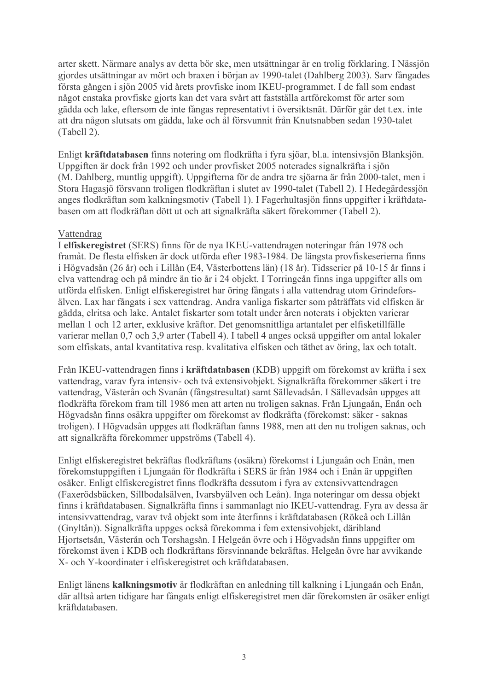arter skett. Närmare analys av detta bör ske, men utsättningar är en trolig förklaring. I Nässjön gjordes utsättningar av mört och braxen i början av 1990-talet (Dahlberg 2003). Sarv fångades första gången i sjön 2005 vid årets provfiske inom IKEU-programmet. I de fall som endast något enstaka provfiske gjorts kan det vara svårt att fastställa artförekomst för arter som gädda och lake, eftersom de inte fångas representativt i översiktsnät. Därför går det t.ex. inte att dra någon slutsats om gädda, lake och ål försvunnit från Knutsnabben sedan 1930-talet (Tabell 2).

Enligt kräftdatabasen finns notering om flodkräfta i fyra sjöar, bl.a. intensivsjön Blanksjön. Uppgiften är dock från 1992 och under provfisket 2005 noterades signalkräfta i sjön (M. Dahlberg, muntlig uppgift). Uppgifterna för de andra tre sjöarna är från 2000-talet, men i Stora Hagasjö försvann troligen flodkräftan i slutet av 1990-talet (Tabell 2). I Hedegärdessjön anges flodkräftan som kalkningsmotiv (Tabell 1). I Fagerhultasjön finns uppgifter i kräftdatabasen om att flodkräftan dött ut och att signalkräfta säkert förekommer (Tabell 2).

### Vattendrag

I elfiskeregistret (SERS) finns för de nya IKEU-vattendragen noteringar från 1978 och framåt. De flesta elfisken är dock utförda efter 1983-1984. De längsta provfiskeserierna finns i Högvadsån (26 år) och i Lillån (E4, Västerbottens län) (18 år). Tidsserier på 10-15 år finns i elva vattendrag och på mindre än tio år i 24 objekt. I Torringeån finns inga uppgifter alls om utförda elfisken. Enligt elfiskeregistret har öring fångats i alla vattendrag utom Grindeforsälven. Lax har fångats i sex vattendrag. Andra vanliga fiskarter som påträffats vid elfisken är gädda, elritsa och lake. Antalet fiskarter som totalt under åren noterats i objekten varierar mellan 1 och 12 arter, exklusive kräftor. Det genomsnittliga artantalet per elfisketillfälle varierar mellan 0,7 och 3,9 arter (Tabell 4). I tabell 4 anges också uppgifter om antal lokaler som elfiskats, antal kvantitativa resp. kvalitativa elfisken och täthet av öring, lax och totalt.

Från IKEU-vattendragen finns i kräftdatabasen (KDB) uppgift om förekomst av kräfta i sex vattendrag, varav fyra intensiv- och två extensivobjekt. Signalkräfta förekommer säkert i tre vattendrag, Västerån och Svanån (fångstresultat) samt Sällevadsån. I Sällevadsån uppges att flodkräfta förekom fram till 1986 men att arten nu troligen saknas. Från Ljungaån, Enån och Högvadsån finns osäkra uppgifter om förekomst av flodkräfta (förekomst: säker - saknas troligen). I Högvadsån uppges att flodkräftan fanns 1988, men att den nu troligen saknas, och att signalkräfta förekommer uppströms (Tabell 4).

Enligt elfiskeregistret bekräftas flodkräftans (osäkra) förekomst i Ljungaån och Enån, men förekomstuppgiften i Ljungaån för flodkräfta i SERS är från 1984 och i Enån är uppgiften osäker. Enligt elfiskeregistret finns flodkräfta dessutom i fyra av extensivvattendragen (Faxerödsbäcken, Sillbodalsälven, Ivarsbyälven och Leån). Inga noteringar om dessa objekt finns i kräftdatabasen. Signalkräfta finns i sammanlagt nio IKEU-vattendrag. Fyra av dessa är intensivvattendrag, varav två objekt som inte återfinns i kräftdatabasen (Rökeå och Lillån (Gnyltån)). Signalkräfta uppges också förekomma i fem extensivobjekt, däribland Hjortsetsån, Västerån och Torshagsån. I Helgeån övre och i Högvadsån finns uppgifter om förekomst även i KDB och flodkräftans försvinnande bekräftas. Helgeån övre har avvikande X- och Y-koordinater i elfiskeregistret och kräftdatabasen.

Enligt länens kalkningsmotiv är flodkräftan en anledning till kalkning i Ljungaån och Enån, där alltså arten tidigare har fångats enligt elfiskeregistret men där förekomsten är osäker enligt kräftdatabasen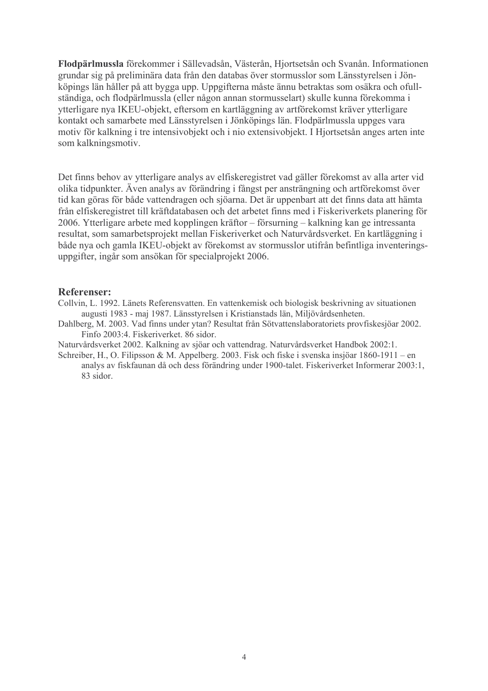Flodpärlmussla förekommer i Sällevadsån, Västerån, Hjortsetsån och Svanån. Informationen grundar sig på preliminära data från den databas över stormusslor som Länsstyrelsen i Jönköpings län håller på att bygga upp. Uppgifterna måste ännu betraktas som osäkra och ofullständiga, och flodpärlmussla (eller någon annan stormusselart) skulle kunna förekomma i ytterligare nya IKEU-objekt, eftersom en kartläggning av artförekomst kräver ytterligare kontakt och samarbete med Länsstyrelsen i Jönköpings län. Flodpärlmussla uppges vara motiv för kalkning i tre intensivobjekt och i nio extensivobjekt. I Hjortsetsån anges arten inte som kalkningsmotiv.

Det finns behov av ytterligare analys av elfiskeregistret vad gäller förekomst av alla arter vid olika tidpunkter. Även analys av förändring i fångst per ansträngning och artförekomst över tid kan göras för både vattendragen och sjöarna. Det är uppenbart att det finns data att hämta från elfiskeregistret till kräftdatabasen och det arbetet finns med i Fiskeriverkets planering för 2006. Ytterligare arbete med kopplingen kräftor – försurning – kalkning kan ge intressanta resultat, som samarbetsprojekt mellan Fiskeriverket och Naturvårdsverket. En kartläggning i både nya och gamla IKEU-objekt av förekomst av stormusslor utifrån befintliga inventeringsuppgifter, ingår som ansökan för specialprojekt 2006.

#### Referenser:

Collvin, L. 1992. Länets Referensvatten. En vattenkemisk och biologisk beskrivning av situationen augusti 1983 - maj 1987. Länsstyrelsen i Kristianstads län, Miljövårdsenheten.

Dahlberg, M. 2003. Vad finns under ytan? Resultat från Sötvattenslaboratoriets provfiskesjöar 2002. Finfo 2003:4. Fiskeriverket, 86 sidor.

Naturvårdsverket 2002. Kalkning av sjöar och vattendrag. Naturvårdsverket Handbok 2002:1. Schreiber, H., O. Filipsson & M. Appelberg, 2003. Fisk och fiske i svenska insjöar 1860-1911 – en

analys av fiskfaunan då och dess förändring under 1900-talet. Fiskeriverket Informerar 2003:1, 83 sidor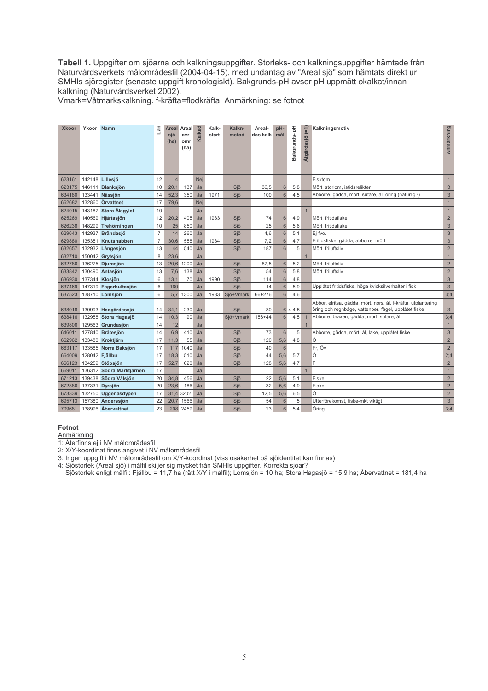Tabell 1. Uppgifter om sjöarna och kalkningsuppgifter. Storleks- och kalkningsuppgifter hämtade från Naturvårdsverkets målområdesfil (2004-04-15), med undantag av "Areal sjö" som hämtats direkt ur SMHIs sjöregister (senaste uppgift kronologiskt). Bakgrunds-pH avser pH uppmätt okalkat/innan kalkning (Naturvårdsverket 2002).

Vmark=Våtmarkskalkning. f-kräfta=flodkräfta. Anmärkning: se fotnot

| <b>Xkoor</b> | Ykoor Namn     |                          | Län            | sjö<br>(ha)    | Areal Areal<br>avr-<br>omr<br>(ha) | Kalkad | Kalk-<br>start | Kalkn-<br>metod | Areal-<br>dos kalk mål | pH-              | 玉<br>Bakgrunds- | (三)<br>Atgärdssjö | Kalkningsmotiv                                                                                                        | Anmärkning     |
|--------------|----------------|--------------------------|----------------|----------------|------------------------------------|--------|----------------|-----------------|------------------------|------------------|-----------------|-------------------|-----------------------------------------------------------------------------------------------------------------------|----------------|
| 623161       |                | 142148 Lillesjö          | 12             | $\overline{4}$ |                                    | Nei    |                |                 |                        |                  |                 |                   | Fisktom                                                                                                               | $\mathbf{1}$   |
| 623175       |                | 146111 Blanksjön         | 10             | 20,1           | 137                                | Ja     |                | Sjö             | 36,5                   | $6 \overline{6}$ | 5,8             |                   | Mört, storlom, istidsrelikter                                                                                         | $\mathfrak{S}$ |
| 634180       |                | 133441 Nässjön           | 14             | 52.3           | 350                                | Ja     | 1971           | Sjö             | 100                    | $6 \overline{}$  | 4,5             |                   | Abborre, gädda, mört, sutare, ål, öring (naturlig?)                                                                   | $\mathfrak{S}$ |
| 662682       |                | 132860 Örvattnet         | 17             | 79,6           |                                    | Nej    |                |                 |                        |                  |                 |                   |                                                                                                                       | $\mathbf{1}$   |
| 624015       |                | 143187 Stora Alagylet    | 10             |                |                                    | Ja     |                |                 |                        |                  |                 | 1                 |                                                                                                                       | $\mathbf{1}$   |
| 625269       |                | 140569 Hjärtasjön        | 12             | 20,2           | 405                                | Ja     | 1983           | Sjö             | 74                     | $6 \overline{6}$ | 4,9             |                   | Mört, fritidsfiske                                                                                                    | $\overline{2}$ |
| 626238       |                | 148299 Trehörningen      | 10             | 25             | 850                                | Ja     |                | Sjö             | 25                     | $6\overline{6}$  | 5.6             |                   | Mört, fritidsfiske                                                                                                    | $\mathfrak{S}$ |
| 629643       |                | 142937 Brändasjö         | $\overline{7}$ | 14             | 260                                | Ja     |                | Sjö             | 4,6                    | $6\overline{6}$  | 5,1             |                   | Ei fvo.                                                                                                               | $\mathfrak{S}$ |
| 629880       |                | 135351 Knutsnabben       | $\overline{7}$ | 30,6           | 558                                | Ja     | 1984           | Sjö             | 7,2                    | $6 \overline{6}$ | 4,7             |                   | Fritidsfiske; gädda, abborre, mört                                                                                    | 3              |
| 632657       |                | 132932 Långesjön         | 13             | 44             | 540                                | Ja     |                | Sjö             | 187                    | $6\overline{6}$  | 5               |                   | Mört, friluftsliv                                                                                                     | $\overline{2}$ |
| 632710       |                | 150042 Grytsjön          | 8              | 23,6           |                                    | Ja     |                |                 |                        |                  |                 | $\mathbf{1}$      |                                                                                                                       | $\mathbf{1}$   |
| 632786       |                | 136275 Djurasjön         | 13             | 20.6           | 1200                               | Ja     |                | Sjö             | 87,5                   | $6 \overline{6}$ | 5.2             |                   | Mört, friluftsliv                                                                                                     | $\overline{2}$ |
| 633842       |                | 130490 Äntasjön          | 13             | 7.6            | 138                                | Ja     |                | Sjö             | 54                     | $6\overline{6}$  | 5.8             |                   | Mört, friluftsliv                                                                                                     | $\overline{2}$ |
| 636930       |                | 137344 Klosjön           | 6              | 13,1           | 70                                 | Ja     | 1990           | Sjö             | 114                    | $6\overline{6}$  | 4,8             |                   |                                                                                                                       | $\mathfrak{S}$ |
| 637469       |                | 147319 Fagerhultasjön    | 6              | 160            |                                    | Ja     |                | Sjö             | 14                     | $6\overline{6}$  | 5.9             |                   | Upplåtet fritidsfiske, höga kvicksilverhalter i fisk                                                                  | $\mathfrak{S}$ |
| 637523       |                | 138710 Lomsjön           | 6              | 5,7            | 1300                               | Ja     | 1983           | Sjö+Vmark       | 66+276                 | $6\overline{6}$  | 4,6             |                   |                                                                                                                       | 3:4            |
| 638018       |                | 130993 Hedgärdessjö      | 14             | 34,1           | 230                                | Ja     |                | Sjö             | 80                     |                  | $64-4.5$        |                   | Abbor, elritsa, gädda, mört, nors, ål, f-kräfta, utplantering<br>öring och regnbåge, vattenber. fågel, upplåtet fiske | $\mathfrak{S}$ |
| 638416       |                | 132958 Stora Hagasjö     | 14             | 10,3           | 90                                 | Ja     |                | Sjö+Vmark       | $156 + 44$             | $6 \overline{}$  | 4,5             |                   | Abborre, braxen, gädda, mört, sutare, ål                                                                              | 3;4            |
| 639806       |                | 129563 Grundasjön        | 14             | 12             |                                    | Ja     |                |                 |                        |                  |                 | $\mathbf{1}$      |                                                                                                                       | $\mathbf{1}$   |
| 646011       |                | 127840 Bråtesjön         | 14             | 6.9            | 410                                | Ja     |                | Sjö             | 73                     | $6\overline{6}$  | 5               |                   | Abborre, gädda, mört, ål, lake, upplåtet fiske                                                                        | 3              |
| 662962       |                | 133480 Kroktjärn         | 17             | 11,3           | 55                                 | Ja     |                | Sjö             | 120                    | 5,6              | 4,8             |                   | Ö                                                                                                                     | $\overline{2}$ |
| 663117       |                | 133585 Norra Baksjön     | 17             | 117            | 1040                               | Ja     |                | Sjö             | 40                     | $6\overline{6}$  |                 |                   | Fr. Öv                                                                                                                | $\overline{2}$ |
| 664009       | 128042 Fjällbu |                          | 17             | 18,3           | 510                                | Ja     |                | Sjö             | 44                     | 5,6              | 5,7             |                   | Ö                                                                                                                     | 2:4            |
| 666123       |                | 134259 Stöpsjön          | 17             | 52,7           | 620                                | Ja     |                | Sjö             | 128                    | 5,6              | 4,7             |                   | F                                                                                                                     | $\overline{2}$ |
| 669011       |                | 136312 Södra Marktjärnen | 17             |                |                                    | Ja     |                |                 |                        |                  |                 | $\mathbf{1}$      |                                                                                                                       | $\mathbf{1}$   |
| 671213       |                | 139438 Södra Vålsjön     | 20             | 34,8           | 456                                | Ja     |                | Sjö             | 22                     | 5,6              | 5,1             |                   | Fiske                                                                                                                 | $\overline{2}$ |
| 672886       |                | 137331 Dyrsjön           | 20             | 23,6           | 186                                | Ja     |                | Sjö             | 32                     | 5,6              | 4,9             |                   | Fiske                                                                                                                 | $\overline{2}$ |
| 673339       |                | 132750 Uggenäsdypen      | 17             | 31,4           | 320?                               | Ja     |                | Sjö             | 12,5                   | 5,6              | 6,5             |                   | Ö                                                                                                                     | $\overline{2}$ |
| 695713       |                | 157380 Anderssjön        | 22             | 20.7           | 1566                               | Ja     |                | Sjö             | 54                     | 6                | 5               |                   | Utterförekomst, fiske-mkt viktigt                                                                                     | $\sqrt{3}$     |
| 709681       |                | 138996 Abervattnet       | 23             | 208            | 2459                               | Ja     |                | Sjö             | 23                     | $6 \overline{6}$ | 5,4             |                   | Örina                                                                                                                 | 3;4            |

#### Fotnot

Anmärkning<br>1: Återfinns ej i NV målområdesfil

2: X/Y-koordinat finns angivet i NV målområdesfil

3: Ingen uppgift i NV målområdesfil om X/Y-koordinat (viss osäkerhet på sjöldentitet kan finnas)

4: Sjöstorlek (Areal sjö) i målfil skiljer sig mycket från SMHIs uppgifter. Korrekta sjöar? Sjöstorlek enligt målfil: Fjällbu = 11,7 ha (rätt X/Y i målfil); Lomsjön = 10 ha; Stora Hagasjö = 15,9 ha; Åbervattnet = 181,4 ha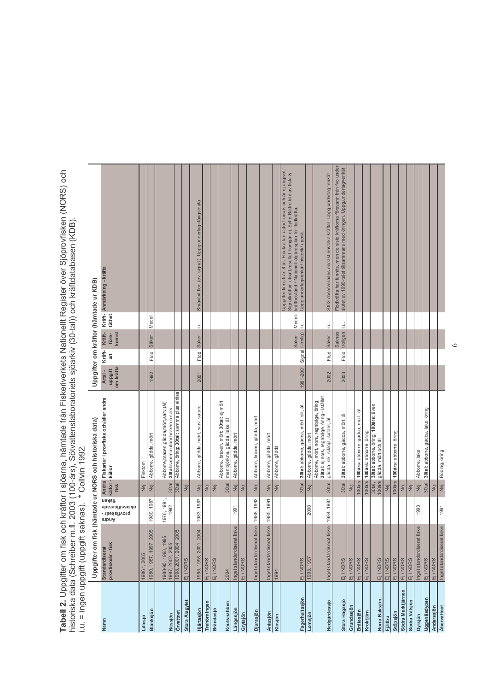T**abell 2.** Uppgifter om fisk och kräftor i sjöarna, hämtade från Fiskeriverkets Nationellt Register över Sjöprovfisken (NORS) och<br>historiska data (Schreiber m.fl. 2003 (100-års), Sötvattenslaboratoriets sjöarkiv (30-tal))

|                    |                                             |                                                     |                         | Uppgifter om fisk (hämtade ur NORS och historiska data)                                                                |                                 |             |                                 |        | Uppgifter om kräftor (hämtade ur KDB)                                                                                                                                                                                                               |  |
|--------------------|---------------------------------------------|-----------------------------------------------------|-------------------------|------------------------------------------------------------------------------------------------------------------------|---------------------------------|-------------|---------------------------------|--------|-----------------------------------------------------------------------------------------------------------------------------------------------------------------------------------------------------------------------------------------------------|--|
| Namn               | provfiskeår - fisk<br><b>Standardiserat</b> | fisken<br>oklassificerade<br>provfiskeår -<br>sibnA | fisk                    | Andra Fiskarter i provfiske och/eller andra<br>källor - källor                                                         | om kräfta<br>uppgift<br>Artal - | Kräft-<br>ă | Kräft-<br>komst<br>före-        | täthet | Kräft-Anmärkning - kräfta                                                                                                                                                                                                                           |  |
| Lillesjö           | 1986 *, 2005                                |                                                     | Nej                     | Fisktom                                                                                                                |                                 |             |                                 |        |                                                                                                                                                                                                                                                     |  |
| Blanksjön          | 1980, 1987, 1997, 2005                      | 1980, 1987                                          | jel                     | Abborre, gädda, mört                                                                                                   | 1992                            | Flod        | Säker                           | Medel  |                                                                                                                                                                                                                                                     |  |
| Nässjön            | 1988-90, 1993, 1995,<br>1997, 2002, 2005    | 1976, 1991,<br>1992                                 | 30tal                   | Abborre, braxen, gådda, mört, sarv, (ål);<br>30tal: samma utom braxen o sarv                                           |                                 |             |                                 |        |                                                                                                                                                                                                                                                     |  |
| Örvattnet          | 1998, 2001, 2004, 2005                      |                                                     | 30 <sup>ta</sup>        | Abborre, öring; 30tal: samma plus elritsa                                                                              |                                 |             |                                 |        |                                                                                                                                                                                                                                                     |  |
| Stora Alagylet     | Ej i NORS                                   |                                                     | $\overline{\mathsf{P}}$ |                                                                                                                        |                                 |             |                                 |        |                                                                                                                                                                                                                                                     |  |
| Hjärtasjön         | 1995, 1998, 2001, 2004                      | 1983, 1987                                          | jel                     | Abborre, gädda, mört, sarv, sutare                                                                                     | 2001                            | Flod        | E.<br>Säker                     |        | Småväxt flod (ev. signal). Uppg.underlag=fängstdata                                                                                                                                                                                                 |  |
| Trehörningen       |                                             |                                                     | jel                     |                                                                                                                        |                                 |             |                                 |        |                                                                                                                                                                                                                                                     |  |
| <b>Brändasjö</b>   | Ej i NORS<br>Ej i NORS                      |                                                     | ΡÄ                      |                                                                                                                        |                                 |             |                                 |        |                                                                                                                                                                                                                                                     |  |
| Knutsnabben        | 2004                                        |                                                     | 30tal                   | Abborre, braxen, mört; 30tal: ej mört,<br>men björkna, gädda, lake, ål                                                 |                                 |             |                                 |        |                                                                                                                                                                                                                                                     |  |
| Långesjön          | Inget standardiserat fiske                  | 1991                                                | jel                     | Abborre, gädda, mört                                                                                                   |                                 |             |                                 |        |                                                                                                                                                                                                                                                     |  |
| Grytsjön           | Ej i NORS                                   |                                                     | jey                     |                                                                                                                        |                                 |             |                                 |        |                                                                                                                                                                                                                                                     |  |
| Djurasjön          | Inget standardiserat fiske                  | 1988, 1992                                          | $\overline{e}$          | Abborre, braxen, gädda, mört                                                                                           |                                 |             |                                 |        |                                                                                                                                                                                                                                                     |  |
| Äntasjön           | Inget standardiserat fiske 1985, 1991       |                                                     | jel                     | Abborre, gädda, mört                                                                                                   |                                 |             |                                 |        |                                                                                                                                                                                                                                                     |  |
| Klosjön            | 1994                                        |                                                     | <b>P</b>                | Abborre, gädda                                                                                                         |                                 |             |                                 |        |                                                                                                                                                                                                                                                     |  |
| Fagerhultasjön     | Ej i NORS                                   |                                                     |                         | 30tal 30tal: abborre, gädda, mört, sik, ål                                                                             | 1981-2001 Signal (-trolig)      |             | E.<br>Säker                     | Medel- | Uppgifter finns från 8 år. Flodkräftan utdöd, orsak och år ej angivet.<br>Signalkräftan utsatt, resultat framgår ej. Syfte: Bättre bild av fisk- &<br>kräftbestånd / Nationell åtgärdsplan för flodkräfta.<br>Uppg.underlag=enkät/ historik/ uppsk. |  |
| Lomsjön            | 1993, 1997                                  | 2000                                                | $\overline{\mathsf{P}}$ | Abborre, gädda, mört                                                                                                   |                                 |             |                                 |        |                                                                                                                                                                                                                                                     |  |
| Hedgärdessjö       | Inget standardiserat fiske 1984, 1987       |                                                     | 30tal                   | 30tal: ej nors, regnbåge, öring - istället<br>Abborre, mört, nors, regnbåge, öring;<br>gädda, sik, siklöja, sutare, ål | 2002                            | Flod        | E.<br>Säker                     |        | 2002 observerades endast enstaka kräftor. Uppg. underlag=enkät                                                                                                                                                                                      |  |
| Stora Hagasjö      | <b>EjiNORS</b>                              |                                                     | 30tal                   | 30tal: abborre, gädda, mört, ål                                                                                        | 2003                            | Flod        | E.<br>troligen<br><b>Saknas</b> |        | Flodkräfta har funnits, men de sista kräftorna försvann från fvo under<br>slutet av 1990-talet tillsammans med öringen. Uppg. underlag=enkät                                                                                                        |  |
| Grundasjön         | Ej i NORS                                   |                                                     | Nej                     |                                                                                                                        |                                 |             |                                 |        |                                                                                                                                                                                                                                                     |  |
| Bråtesjön          | Ej i NORS                                   |                                                     |                         | 100års 100års: abborre, gädda, mört, ål                                                                                |                                 |             |                                 |        |                                                                                                                                                                                                                                                     |  |
| Kroktjärn          | Ej i NORS                                   |                                                     |                         | 100års 100års: abborre, öring                                                                                          |                                 |             |                                 |        |                                                                                                                                                                                                                                                     |  |
| Norra Baksjön      | Ej i NORS                                   |                                                     | 100års<br>30tal,        | 30tal: abborre, öring; 100 års: även<br>gädda, mört och ål                                                             |                                 |             |                                 |        |                                                                                                                                                                                                                                                     |  |
| <b>Fjällbu</b>     | Ej i NORS                                   |                                                     | Nej                     |                                                                                                                        |                                 |             |                                 |        |                                                                                                                                                                                                                                                     |  |
| Stöpsjön           | Ej i NORS                                   |                                                     |                         | 100års 100års: abborre, öring                                                                                          |                                 |             |                                 |        |                                                                                                                                                                                                                                                     |  |
| Södra Marktjärnen  | Ej i NORS                                   |                                                     | jey                     |                                                                                                                        |                                 |             |                                 |        |                                                                                                                                                                                                                                                     |  |
| Södra Vålsjön      | <b>Eji NORS</b>                             |                                                     | Jej                     |                                                                                                                        |                                 |             |                                 |        |                                                                                                                                                                                                                                                     |  |
| Dyrsjön            | ke<br>Inget standardiserat fis              | 1993                                                | Nej                     | Abborre, lake                                                                                                          |                                 |             |                                 |        |                                                                                                                                                                                                                                                     |  |
| Uggenäsdypen       | Ej i NORS                                   |                                                     | 30tal                   | 30tal: abborre, gädda, lake, öring                                                                                     |                                 |             |                                 |        |                                                                                                                                                                                                                                                     |  |
| Anderssjön         | Ej i NORS                                   |                                                     | Eg                      |                                                                                                                        |                                 |             |                                 |        |                                                                                                                                                                                                                                                     |  |
| <b>Abervattnet</b> | Inget standardiserat fiske                  | 1991                                                |                         | Nej Röding, öring                                                                                                      |                                 |             |                                 |        |                                                                                                                                                                                                                                                     |  |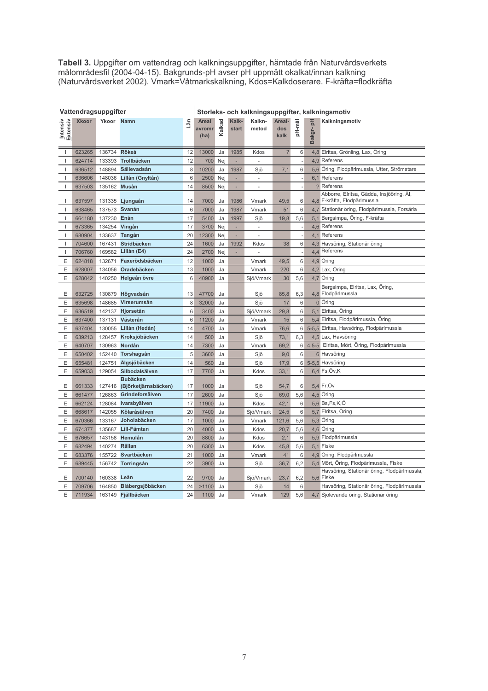Tabell 3. Uppgifter om vattendrag och kalkningsuppgifter, hämtade från Naturvårdsverkets målområdesfil (2004-04-15). Bakgrunds-pH avser pH uppmätt okalkat/innan kalkning (Naturvårdsverket 2002). Vmark=Våtmarkskalkning, Kdo

|                          | Vattendragsuppgifter |               |                         |     | Storleks- och kalkningsuppgifter, kalkningsmotiv |        |                |                          |                          |                |             |                                                                          |  |  |
|--------------------------|----------------------|---------------|-------------------------|-----|--------------------------------------------------|--------|----------------|--------------------------|--------------------------|----------------|-------------|--------------------------------------------------------------------------|--|--|
| Intensiv<br>Extensiv     | <b>Xkoor</b>         | Ykoor Namn    |                         | Län | Areal<br>avromr<br>(ha)                          | Kalkad | Kalk-<br>start | Kalkn-<br>metod          | Areal-<br>dos<br>kalk    | pH-mål         | 공<br>Bakgr- | Kalkningsmotiv                                                           |  |  |
| $\mathbf{I}$             | 623265               | 136734 Rökeå  |                         | 12  | 13000                                            | Ja     | 1985           | Kdos                     | $\overline{\phantom{0}}$ | 6              |             | 4,8 Elritsa, Grönling, Lax, Öring                                        |  |  |
| $\mathbf{I}$             | 624714               | 133393        | Trollbäcken             | 12  | 700                                              | Nej    |                |                          |                          |                |             | 4.9 Referens                                                             |  |  |
| $\mathbf{I}$             | 636512               | 148894        | Sällevadsån             | 8   | 10200                                            | Ja     | 1987           | Sjö                      | 7,1                      | 6              |             | 5.6 Öring, Flodpärlmussla, Utter, Strömstare                             |  |  |
| $\mathbf{I}$             | 636606               | 148036        | Lillån (Gnyltån)        | 6   | 2500                                             | Nej    | ÷              | $\omega$                 |                          | ÷,             |             | 6.1 Referens                                                             |  |  |
| $\mathsf{I}$             | 637503               | 135162        | <b>Musån</b>            | 14  | 8500                                             | Nej    | ٠              | $\overline{\phantom{a}}$ |                          |                |             | ? Referens                                                               |  |  |
| $\mathbf{I}$             | 637597               |               | 131335 Ljungaån         | 14  | 7000                                             | Ja     | 1986           | Vmark                    | 49,5                     | 6              |             | Abborre, Elritsa, Gädda, Insjööring, Ål,<br>4.8 F-kräfta, Flodpärlmussla |  |  |
| $\mathbf{I}$             | 638465               |               | 137573 Svanån           | 6   | 7000                                             | Ja     | 1987           | Vmark                    | 51                       | 6              |             | 4.7 Stationär öring, Flodpärlmussla, Forsärla                            |  |  |
| $\mathbf{I}$             | 664180               | 137230 Enån   |                         | 17  | 5400                                             | Ja     | 1997           | Sjö                      | 19,8                     | 5,6            |             | 5.1 Bergsimpa, Öring, F-kräfta                                           |  |  |
| $\mathbf{I}$             | 673365               | 134254 Vingån |                         | 17  | 3700                                             | Nei    |                |                          |                          |                |             | 4,6 Referens                                                             |  |  |
| $\overline{\phantom{a}}$ | 680904               | 133637        | Tangån                  | 20  | 12300                                            | Nej    | ÷,             | ÷,                       |                          |                |             | 4,1 Referens                                                             |  |  |
| $\mathbf{I}$             | 704600               | 167431        | Stridbäcken             | 24  | 1600                                             | Ja     | 1992           | Kdos                     | 38                       | 6              |             | 4,3 Havsöring, Stationär öring                                           |  |  |
| $\mathbf{I}$             | 706760               | 169582        | Lillån (E4)             | 24  | 2700                                             | Nej    | ÷,             | ÷,                       |                          | ÷,             |             | 4,4 Referens                                                             |  |  |
| E                        | 624818               | 132671        | Faxerödsbäcken          | 12  | 1000                                             | Ja     |                | Vmark                    | 49,5                     | 6              |             | 4,9 Öring                                                                |  |  |
| E                        | 628007               | 134056        | Öradebäcken             | 13  | 1000                                             | Ja     |                | Vmark                    | 220                      | 6              |             | 4,2 Lax, Öring                                                           |  |  |
| Е                        | 628042               | 140250        | Helgeån övre            | 6   | 40900                                            | Ja     |                | Sjö/Vmark                | 30                       | 5,6            |             | 4,7 Öring                                                                |  |  |
| E                        | 632725               | 130879        | Högvadsån               | 13  | 47700                                            | Ja     |                | Sjö                      | 85,8                     | 6,3            |             | Bergsimpa, Elritsa, Lax, Öring,<br>4,8 Flodpärlmussla                    |  |  |
| E                        | 635698               | 148685        | Virserumsån             | 8   | 32000                                            | Ja     |                | Sjö                      | 17                       | $6\phantom{1}$ |             | 0 Öring                                                                  |  |  |
| Ε                        | 636519               | 142137        | Hjorsetån               | 6   | 3400                                             | Ja     |                | Sjö/Vmark                | 29,8                     | 6              |             | 5,1 Elritsa, Öring                                                       |  |  |
| E                        | 637400               | 137131        | Västerån                | 6   | 11200                                            | Ja     |                | Vmark                    | 15                       | 6              |             | 5,4 Elritsa, Flodpärlmussla, Öring                                       |  |  |
| Ε                        | 637404               | 130055        | Lillån (Hedån)          | 14  | 4700                                             | Ja     |                | Vmark                    | 76,6                     | 6              |             | 5-5,5 Elritsa, Havsöring, Flodpärlmussla                                 |  |  |
| Е                        | 639213               | 128457        | Kroksjöbäcken           | 14  | 500                                              | Ja     |                | Sjö                      | 73,1                     | 6,3            |             | 4,5 Lax, Havsöring                                                       |  |  |
| Е                        | 640707               | 130963        | Nordån                  | 14  | 7300                                             | Ja     |                | Vmark                    | 69,2                     | 6              |             | 4,5-5 Elritsa, Mört, Öring, Flodpärlmussla                               |  |  |
| Е                        | 650402               | 152440        | Torshagsån              | 5   | 3600                                             | Ja     |                | Sjö                      | 9,0                      | 6              |             | 6 Havsöring                                                              |  |  |
| Е                        | 655481               | 124751        | Älgsjöbäcken            | 14  | 560                                              | Ja     |                | Sjö                      | 17,9                     | 6              |             | 5-5,5 Havsöring                                                          |  |  |
| E                        | 659033               | 129054        | Silbodalsälven          | 17  | 7700                                             | Ja     |                | Kdos                     | 33,1                     | 6              |             | 6,4 Fs,Öv,K                                                              |  |  |
|                          |                      |               | <b>Bubäcken</b>         |     |                                                  |        |                |                          |                          |                |             |                                                                          |  |  |
| E                        | 661333               | 127416        | (Björketjärnsbäcken)    | 17  | 1000                                             | Ja     |                | Sjö                      | 54,7                     | 6              |             | 5,4 Fr, Öv                                                               |  |  |
| Ε                        | 661477               | 126863        | Grindeforsälven         | 17  | 2600                                             | Ja     |                | Sjö                      | 69,0                     | 5,6            |             | 4,5 Öring                                                                |  |  |
| E                        | 662124               |               | 128084 Ivarsbyälven     | 17  | 11900                                            | Ja     |                | Kdos                     | 42,1                     | 6              |             | 5.6 Bs,Fs,K,Ö                                                            |  |  |
| Ε                        | 668617               |               | 142055 Kölaråsälven     | 20  | 7400                                             | Ja     |                | Sjö/Vmark                | 24,5                     | 6              |             | 5,7 Elritsa, Öring                                                       |  |  |
| Е                        | 670366               | 133167        | Joholabäcken            | 17  | 1000                                             | Ja     |                | Vmark                    | 121,6                    | 5,6            |             | 5,3 Öring                                                                |  |  |
| Е                        | 674377               | 135687        | Lill-Fämtan             | 20  | 4000                                             | Ja     |                | Kdos                     | 20,7                     | 5,6            |             | 4,6 Öring                                                                |  |  |
| Е                        | 676657               | 143158        | Hemulån                 | 20  | 8800                                             | Ja     |                | Kdos                     | 2,1                      | 6              |             | 5,9 Flodpärlmussla                                                       |  |  |
| E                        | 682494               | 140274        | Rällan                  | 20  | 6300                                             | Ja     |                | Kdos                     | 45,8                     | 5,6            |             | 5,1 Fiske                                                                |  |  |
| Е                        | 683376               | 155722        | Svartbäcken             | 21  | 1000                                             | Ja     |                | Vmark                    | 41                       | 6              |             | 4,9 Öring, Flodpärlmussla                                                |  |  |
| E                        | 689445               | 156742        | Torringsån              | 22  | 3900                                             | Ja     |                | Sjö                      | 36,7                     | 6,2            |             | 5,4 Mört, Öring, Flodpärlmussla, Fiske                                   |  |  |
| E                        | 700140               | 160338 Leån   |                         | 22  | 9700                                             | Ja     |                | Sjö/Vmark                | 23,7                     | 6,2            |             | Havsöring, Stationär öring, Flodpärlmussla,<br>5,6 Fiske                 |  |  |
| E                        | 709706               |               | 164850 Blåbergsjöbäcken | 24  | >1100                                            | Ja     |                | Sjö                      | 14                       | 6              |             | Havsöring, Stationär öring, Flodpärlmussla                               |  |  |
| E                        | 711934               |               | 163149 Fjällbäcken      | 24  | 1100                                             | Ja     |                | Vmark                    | 129                      | 5.6            |             | 4.7 Sjölevande öring, Stationär öring                                    |  |  |